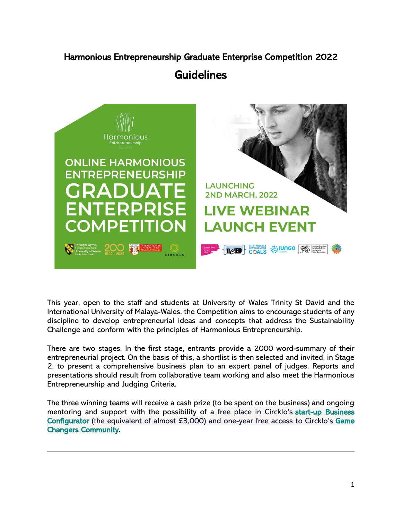# Harmonious Entrepreneurship Graduate Enterprise Competition 2022

# **Guidelines**



This year, open to the staff and students at University of Wales Trinity St David and the International University of Malaya-Wales, the Competition aims to encourage students of any discipline to develop entrepreneurial ideas and concepts that address the Sustainability Challenge and conform with the principles of Harmonious Entrepreneurship.

There are two stages. In the first stage, entrants provide a 2000 word-summary of their entrepreneurial project. On the basis of this, a shortlist is then selected and invited, in Stage 2, to present a comprehensive business plan to an expert panel of judges. Reports and presentations should result from collaborative team working and also meet the Harmonious Entrepreneurship and Judging Criteria.

The three winning teams will receive a cash prize (to be spent on the business) and ongoing mentoring and support with the possibility of a free place in Circklo's [start-up Business](https://www.circklo.com/sustainability-accelerator)  [Configurator](https://www.circklo.com/sustainability-accelerator) (the equivalent of almost £3,000) and one-year free access to Circklo's Game [Changers Community.](https://www.circklo.com/slack-community)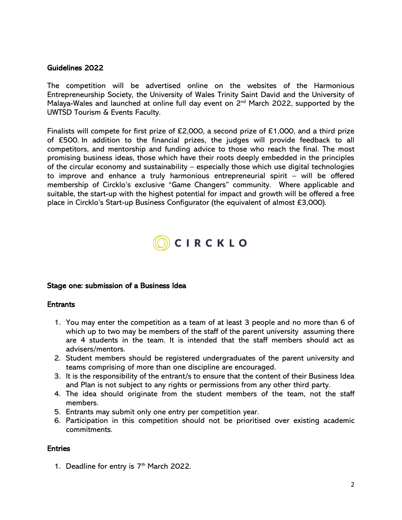#### Guidelines 2022

The competition will be advertised online on the websites of the Harmonious Entrepreneurship Society, the University of Wales Trinity Saint David and the University of Malaya-Wales and launched at online full day event on 2<sup>nd</sup> March 2022, supported by the UWTSD Tourism & Events Faculty.

Finalists will compete for first prize of £2,000, a second prize of £1,000, and a third prize of £500. In addition to the financial prizes, the judges will provide feedback to all competitors, and mentorship and funding advice to those who reach the final. The most promising business ideas, those which have their roots deeply embedded in the principles of the circular economy and sustainability – especially those which use digital technologies to improve and enhance a truly harmonious entrepreneurial spirit – will be offered membership of Circklo's exclusive "Game Changers" community. Where applicable and suitable, the start-up with the highest potential for impact and growth will be offered a free place in Circklo's Start-up Business Configurator (the equivalent of almost £3,000).



#### Stage one: submission of a Business Idea

#### **Entrants**

- 1. You may enter the competition as a team of at least 3 people and no more than 6 of which up to two may be members of the staff of the parent university assuming there are 4 students in the team. It is intended that the staff members should act as advisers/mentors.
- 2. Student members should be registered undergraduates of the parent university and teams comprising of more than one discipline are encouraged.
- 3. It is the responsibility of the entrant/s to ensure that the content of their Business Idea and Plan is not subject to any rights or permissions from any other third party.
- 4. The idea should originate from the student members of the team, not the staff members.
- 5. Entrants may submit only one entry per competition year.
- 6. Participation in this competition should not be prioritised over existing academic commitments.

#### Entries

1. Deadline for entry is  $7<sup>th</sup>$  March 2022.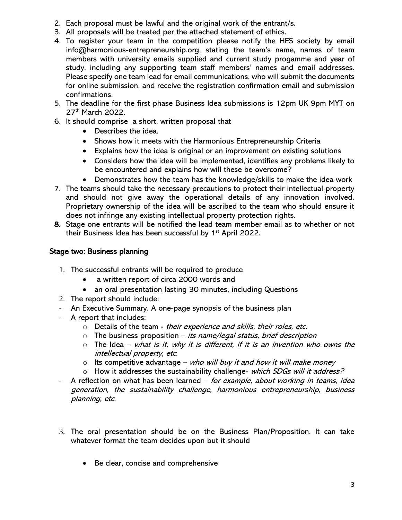- 2. Each proposal must be lawful and the original work of the entrant/s.
- 3. All proposals will be treated per the attached statement of ethics.
- 4. To register your team in the competition please notify the HES society by email info@harmonious-entrepreneurship.org, stating the team's name, names of team members with university emails supplied and current study progamme and year of study, including any supporting team staff members' names and email addresses. Please specify one team lead for email communications, who will submit the documents for online submission, and receive the registration confirmation email and submission confirmations.
- 5. The deadline for the first phase Business Idea submissions is 12pm UK 9pm MYT on 27<sup>th</sup> March 2022.
- 6. It should comprise a short, written proposal that
	- Describes the idea.
	- Shows how it meets with the Harmonious Entrepreneurship Criteria
	- Explains how the idea is original or an improvement on existing solutions
	- Considers how the idea will be implemented, identifies any problems likely to be encountered and explains how will these be overcome?
	- Demonstrates how the team has the knowledge/skills to make the idea work
- 7. The teams should take the necessary precautions to protect their intellectual property and should not give away the operational details of any innovation involved. Proprietary ownership of the idea will be ascribed to the team who should ensure it does not infringe any existing intellectual property protection rights.
- 8. Stage one entrants will be notified the lead team member email as to whether or not their Business Idea has been successful by  $1<sup>st</sup>$  April 2022.

# Stage two: Business planning

- 1. The successful entrants will be required to produce
	- a written report of circa 2000 words and
	- an oral presentation lasting 30 minutes, including Questions
- 2. The report should include:
- An Executive Summary. A one-page synopsis of the business plan
- A report that includes:
	- o Details of the team their experience and skills, their roles, etc.
	- $\circ$  The business proposition *its name/legal status, brief description*
	- $\circ$  The Idea what is it, why it is different, if it is an invention who owns the intellectual property, etc.
	- $\circ$  Its competitive advantage who will buy it and how it will make money
	- $\circ$  How it addresses the sustainability challenge- which SDGs will it address?
- A reflection on what has been learned for example, about working in teams, idea generation, the sustainability challenge, harmonious entrepreneurship, business planning, etc.
- 3. The oral presentation should be on the Business Plan/Proposition. It can take whatever format the team decides upon but it should
	- Be clear, concise and comprehensive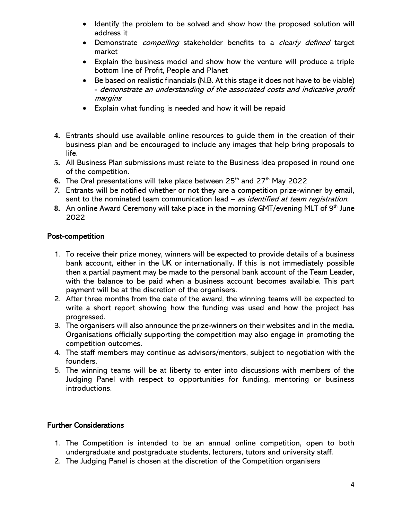- Identify the problem to be solved and show how the proposed solution will address it
- Demonstrate *compelling* stakeholder benefits to a *clearly defined* target market
- Explain the business model and show how the venture will produce a triple bottom line of Profit, People and Planet
- Be based on realistic financials (N.B. At this stage it does not have to be viable) - demonstrate an understanding of the associated costs and indicative profit margins
- Explain what funding is needed and how it will be repaid
- **4.** Entrants should use available online resources to guide them in the creation of their business plan and be encouraged to include any images that help bring proposals to life.
- **5.** All Business Plan submissions must relate to the Business Idea proposed in round one of the competition.
- 6. The Oral presentations will take place between 25<sup>th</sup> and 27<sup>th</sup> May 2022
- *7.* Entrants will be notified whether or not they are a competition prize-winner by email, sent to the nominated team communication lead – as identified at team registration.
- **8.** An online Award Ceremony will take place in the morning GMT/evening MLT of 9<sup>th</sup> June 2022

# Post-competition

- 1. To receive their prize money, winners will be expected to provide details of a business bank account, either in the UK or internationally. If this is not immediately possible then a partial payment may be made to the personal bank account of the Team Leader, with the balance to be paid when a business account becomes available. This part payment will be at the discretion of the organisers.
- 2. After three months from the date of the award, the winning teams will be expected to write a short report showing how the funding was used and how the project has progressed.
- 3. The organisers will also announce the prize-winners on their websites and in the media. Organisations officially supporting the competition may also engage in promoting the competition outcomes.
- 4. The staff members may continue as advisors/mentors, subject to negotiation with the founders.
- 5. The winning teams will be at liberty to enter into discussions with members of the Judging Panel with respect to opportunities for funding, mentoring or business introductions.

### Further Considerations

- 1. The Competition is intended to be an annual online competition, open to both undergraduate and postgraduate students, lecturers, tutors and university staff.
- 2. The Judging Panel is chosen at the discretion of the Competition organisers